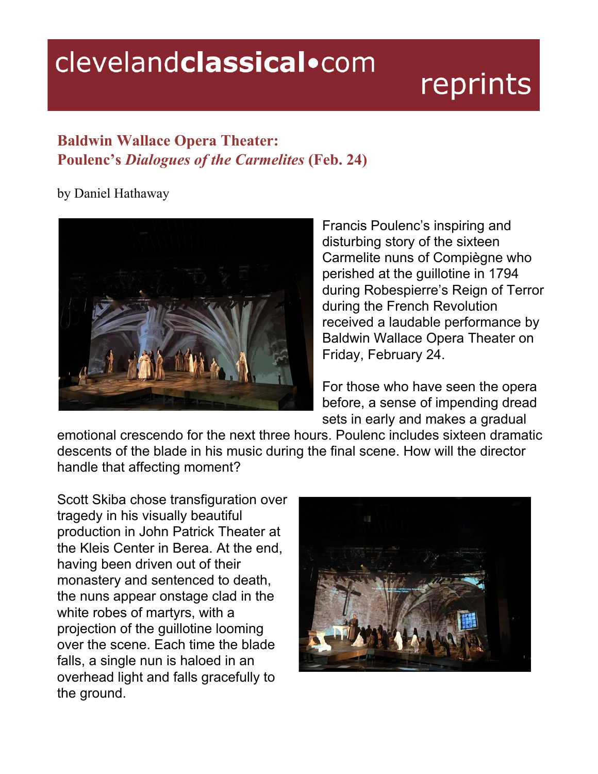## clevelandclassical.com

## reprints

## **Baldwin Wallace Opera Theater: Poulenc's Dialogues of the Carmelites (Feb. 24)**

by Daniel Hathaway



Francis Poulenc's inspiring and disturbing story of the sixteen Carmelite nuns of Compiègne who perished at the guillotine in 1794 during Robespierre's Reign of Terror during the French Revolution received a laudable performance by Baldwin Wallace Opera Theater on Friday, February 24.

For those who have seen the opera before, a sense of impending dread sets in early and makes a gradual

emotional crescendo for the next three hours. Poulenc includes sixteen dramatic descents of the blade in his music during the final scene. How will the director handle that affecting moment?

Scott Skiba chose transfiguration over tragedy in his visually beautiful production in John Patrick Theater at the Kleis Center in Berea. At the end, having been driven out of their monastery and sentenced to death, the nuns appear onstage clad in the white robes of martyrs, with a projection of the guillotine looming over the scene. Each time the blade falls, a single nun is haloed in an overhead light and falls gracefully to the ground.

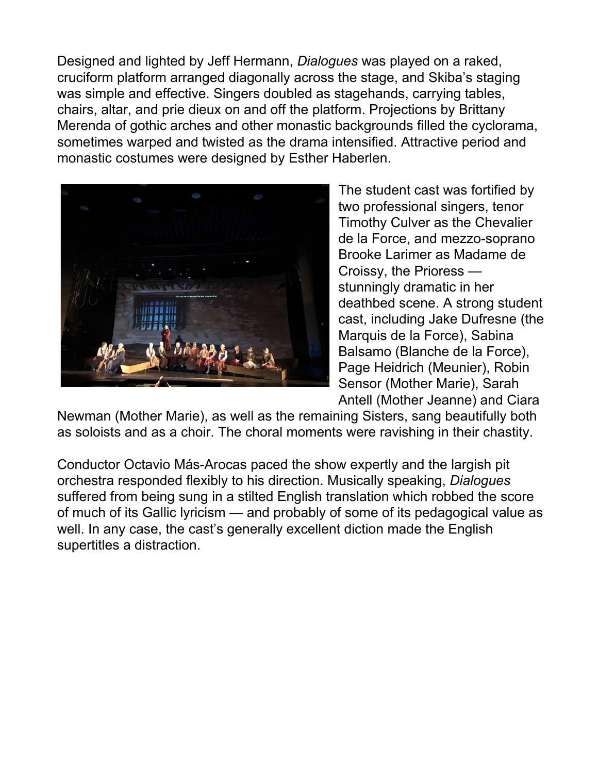Designed and lighted by Jeff Hermann, *Dialogues* was played on a raked, cruciform platform arranged diagonally across the stage, and Skiba's staging was simple and effective. Singers doubled as stagehands, carrying tables, chairs, altar, and prie dieux on and off the platform. Projections by Brittany Merenda of gothic arches and other monastic backgrounds filled the cyclorama, sometimes warped and twisted as the drama intensified. Attractive period and monastic costumes were designed by Esther Haberlen.



The student cast was fortified by two professional singers, tenor Timothy Culver as the Chevalier de la Force, and mezzo-soprano Brooke Larimer as Madame de Croissy, the Prioress stunningly dramatic in her deathbed scene. A strong student cast, including Jake Dufresne (the Marquis de la Force), Sabina Balsamo (Blanche de la Force), Page Heidrich (Meunier), Robin Sensor (Mother Marie), Sarah Antell (Mother Jeanne) and Ciara

Newman (Mother Marie), as well as the remaining Sisters, sang beautifully both as soloists and as a choir. The choral moments were ravishing in their chastity.

Conductor Octavio Más-Arocas paced the show expertly and the largish pit orchestra responded flexibly to his direction. Musically speaking, *Dialogues* suffered from being sung in a stilted English translation which robbed the score of much of its Gallic lyricism — and probably of some of its pedagogical value as well. In any case, the cast's generally excellent diction made the English supertitles a distraction.